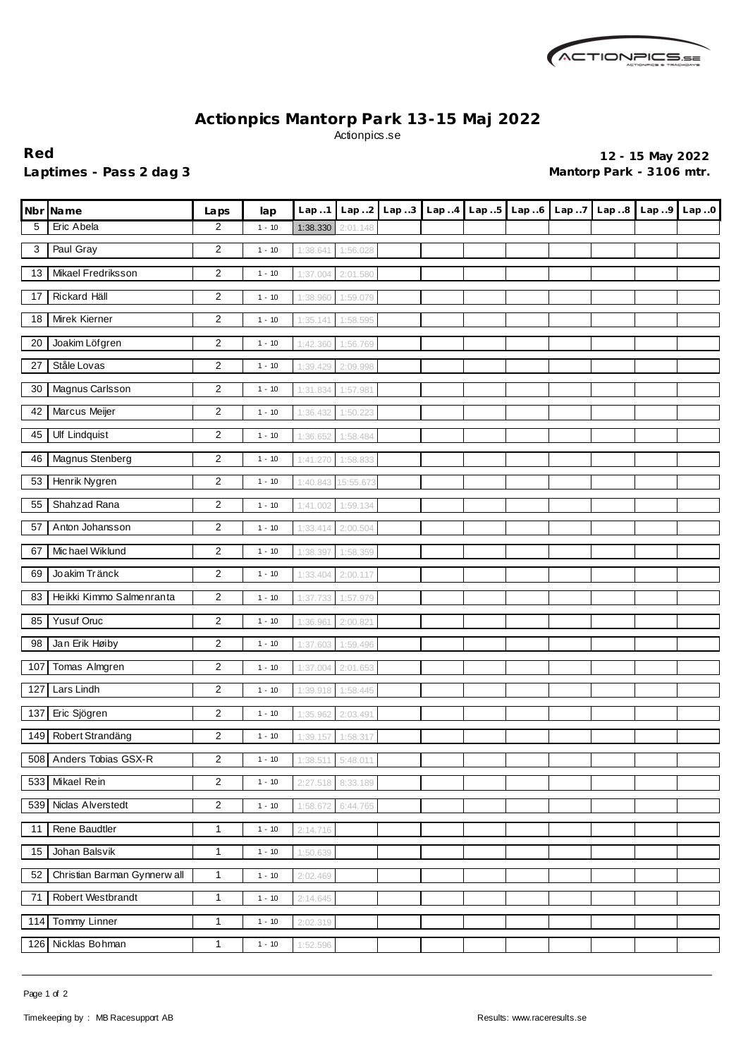

## **Actionpics Mantorp Park 13-15 Maj 2022** Actionpics.se

Laptimes - Pass 2 dag 3 **Mantorp Park - 3106 mtr.** 

**Red 12 - 15 May 2022**

|     | Nbr Name                     | Laps                    | lap      | Lap.1             | Lap2     | Lap.3 |  | Lap4 Lap5 Lap6 | Lap.7 | Lap.8 | Lap.9 | Lap.0 |
|-----|------------------------------|-------------------------|----------|-------------------|----------|-------|--|----------------|-------|-------|-------|-------|
| 5   | Eric Abela                   | 2                       | $1 - 10$ | 1:38.330          | 2:01.148 |       |  |                |       |       |       |       |
| 3   | Paul Gray                    | 2                       | $1 - 10$ | 1:38.641          | 1:56.028 |       |  |                |       |       |       |       |
| 13  | Mikael Fredriksson           | 2                       | $1 - 10$ | 1:37.004          | 2:01.580 |       |  |                |       |       |       |       |
| 17  | Rickard Häll                 | 2                       | $1 - 10$ | 1:38.960          | 1:59.079 |       |  |                |       |       |       |       |
| 18  | Mirek Kierner                | 2                       | $1 - 10$ | 1:35.141          | 1:58.595 |       |  |                |       |       |       |       |
| 20  | Joakim Löfgren               | 2                       | $1 - 10$ | 1:42.360          | 1:56.769 |       |  |                |       |       |       |       |
| 27  | Ståle Lovas                  | $\overline{\mathbf{c}}$ | $1 - 10$ | 1:39.429          | 2:09.998 |       |  |                |       |       |       |       |
| 30  | Magnus Carlsson              | 2                       | $1 - 10$ | 1:31.834          | 1:57.981 |       |  |                |       |       |       |       |
| 42  | Marcus Meijer                | $\overline{2}$          | $1 - 10$ | 1:36.432          | 1:50.223 |       |  |                |       |       |       |       |
| 45  | <b>Ulf Lindquist</b>         | 2                       | $1 - 10$ | 1:36.652          | 1:58.484 |       |  |                |       |       |       |       |
| 46  | Magnus Stenberg              | $\overline{\mathbf{c}}$ | $1 - 10$ | 1:41.270          | 1:58.833 |       |  |                |       |       |       |       |
| 53  | Henrik Nygren                | 2                       | $1 - 10$ | 1:40.843          | 15:55.67 |       |  |                |       |       |       |       |
| 55  | Shahzad Rana                 | 2                       | $1 - 10$ | 1:41.002          | 1:59.134 |       |  |                |       |       |       |       |
| 57  | Anton Johansson              | 2                       | $1 - 10$ | 1:33.414          | 2:00.504 |       |  |                |       |       |       |       |
| 67  | Michael Wiklund              | 2                       | $1 - 10$ | 1:38.397          | 1:58.359 |       |  |                |       |       |       |       |
| 69  | Joakim Tränck                | 2                       | $1 - 10$ | 1:33.404          | 2:00.117 |       |  |                |       |       |       |       |
| 83  | Heikki Kimmo Salmenranta     | 2                       | $1 - 10$ | 1:37.733          | 1:57.979 |       |  |                |       |       |       |       |
| 85  | <b>Yusuf Oruc</b>            | 2                       | $1 - 10$ | 1:36.961          | 2:00.82' |       |  |                |       |       |       |       |
| 98  | Jan Erik Høiby               | 2                       | $1 - 10$ | 1:37.603          | 1:59.496 |       |  |                |       |       |       |       |
| 107 | Tomas Almgren                | 2                       | $1 - 10$ | 1:37.004          | 2:01.653 |       |  |                |       |       |       |       |
| 127 | Lars Lindh                   | 2                       | $1 - 10$ | 1:39.918          | 1:58.445 |       |  |                |       |       |       |       |
| 137 | Eric Sjögren                 | 2                       | $1 - 10$ | 1:35.962          | 2:03.491 |       |  |                |       |       |       |       |
| 149 | Robert Strandäng             | 2                       | $1 - 10$ | 1:39.157          | 1:58.317 |       |  |                |       |       |       |       |
|     | 508 Anders Tobias GSX-R      | $\overline{\mathbf{c}}$ | $1 - 10$ | 1:38.511 5:48.011 |          |       |  |                |       |       |       |       |
| 533 | Mikael Rein                  | $\overline{2}$          | $1 - 10$ | 2:27.518          | 8:33.189 |       |  |                |       |       |       |       |
|     | 539 Niclas Alverstedt        | $\overline{2}$          | $1 - 10$ | 1:58.672          | 6:44.765 |       |  |                |       |       |       |       |
| 11  | Rene Baudtler                | $\mathbf{1}$            | $1 - 10$ | 2:14.716          |          |       |  |                |       |       |       |       |
| 15  | Johan Balsvik                | $\mathbf{1}$            | $1 - 10$ | 1:50.639          |          |       |  |                |       |       |       |       |
| 52  | Christian Barman Gynnerw all | $\mathbf{1}$            | $1 - 10$ | 2:02.469          |          |       |  |                |       |       |       |       |
| 71  | Robert Westbrandt            | $\mathbf{1}$            | $1 - 10$ | 2:14.645          |          |       |  |                |       |       |       |       |
| 114 | <b>Tommy Linner</b>          | $\mathbf{1}$            | $1 - 10$ | 2:02.319          |          |       |  |                |       |       |       |       |
|     | 126 Nicklas Bohman           | 1                       | $1 - 10$ | 1:52.596          |          |       |  |                |       |       |       |       |